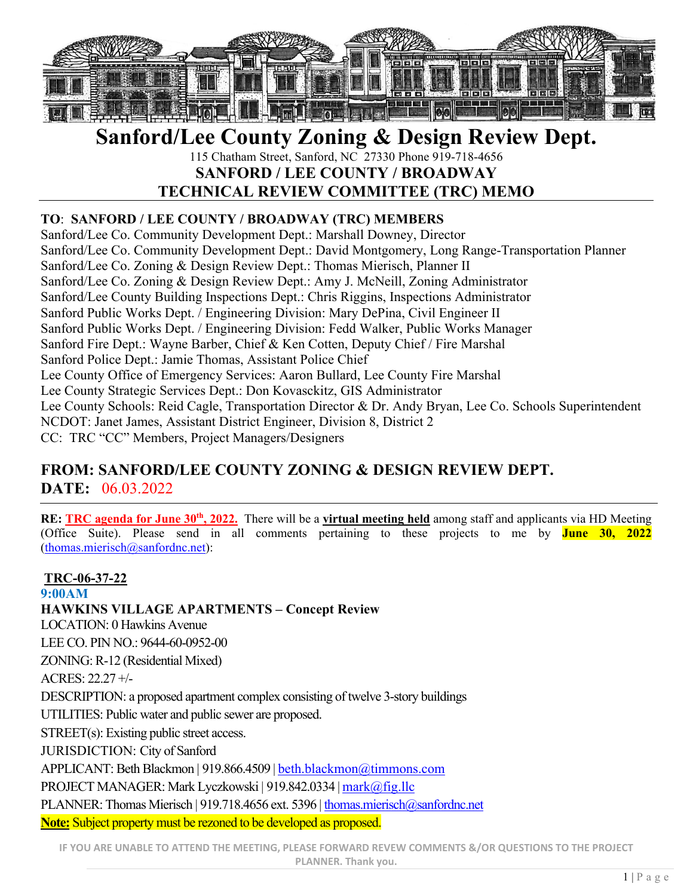

# **Sanford/Lee County Zoning & Design Review Dept.**

115 Chatham Street, Sanford, NC 27330 Phone 919-718-4656 **SANFORD / LEE COUNTY / BROADWAY** 

# **TECHNICAL REVIEW COMMITTEE (TRC) MEMO**

# **TO**: **SANFORD / LEE COUNTY / BROADWAY (TRC) MEMBERS**

Sanford/Lee Co. Community Development Dept.: Marshall Downey, Director Sanford/Lee Co. Community Development Dept.: David Montgomery, Long Range-Transportation Planner Sanford/Lee Co. Zoning & Design Review Dept.: Thomas Mierisch, Planner II Sanford/Lee Co. Zoning & Design Review Dept.: Amy J. McNeill, Zoning Administrator Sanford/Lee County Building Inspections Dept.: Chris Riggins, Inspections Administrator Sanford Public Works Dept. / Engineering Division: Mary DePina, Civil Engineer II Sanford Public Works Dept. / Engineering Division: Fedd Walker, Public Works Manager Sanford Fire Dept.: Wayne Barber, Chief & Ken Cotten, Deputy Chief / Fire Marshal Sanford Police Dept.: Jamie Thomas, Assistant Police Chief Lee County Office of Emergency Services: Aaron Bullard, Lee County Fire Marshal Lee County Strategic Services Dept.: Don Kovasckitz, GIS Administrator Lee County Schools: Reid Cagle, Transportation Director & Dr. Andy Bryan, Lee Co. Schools Superintendent NCDOT: Janet James, Assistant District Engineer, Division 8, District 2 CC: TRC "CC" Members, Project Managers/Designers

# **FROM: SANFORD/LEE COUNTY ZONING & DESIGN REVIEW DEPT. DATE:** 06.03.2022

**RE: TRC agenda for June 30<sup>th</sup>, 2022.** There will be a **virtual meeting held** among staff and applicants via HD Meeting (Office Suite). Please send in all comments pertaining to these projects to me by **June 30, 2022** (thomas.mierisch@sanfordnc.net):

**TRC-06-37-22 9:00AM HAWKINS VILLAGE APARTMENTS – Concept Review**  LOCATION: 0 Hawkins Avenue LEE CO. PIN NO.: 9644-60-0952-00 ZONING: R-12 (Residential Mixed) ACRES: 22.27 +/- DESCRIPTION: a proposed apartment complex consisting of twelve 3-story buildings UTILITIES: Public water and public sewer are proposed. STREET(s): Existing public street access. JURISDICTION: City of Sanford APPLICANT: Beth Blackmon | 919.866.4509 | beth.blackmon@timmons.com PROJECT MANAGER: Mark Lyczkowski | 919.842.0334 | mark@fig.llc PLANNER: Thomas Mierisch | 919.718.4656 ext. 5396 | thomas.mierisch@sanfordnc.net **Note:** Subject property must be rezoned to be developed as proposed.

**IF YOU ARE UNABLE TO ATTEND THE MEETING, PLEASE FORWARD REVEW COMMENTS &/OR QUESTIONS TO THE PROJECT PLANNER. Thank you.**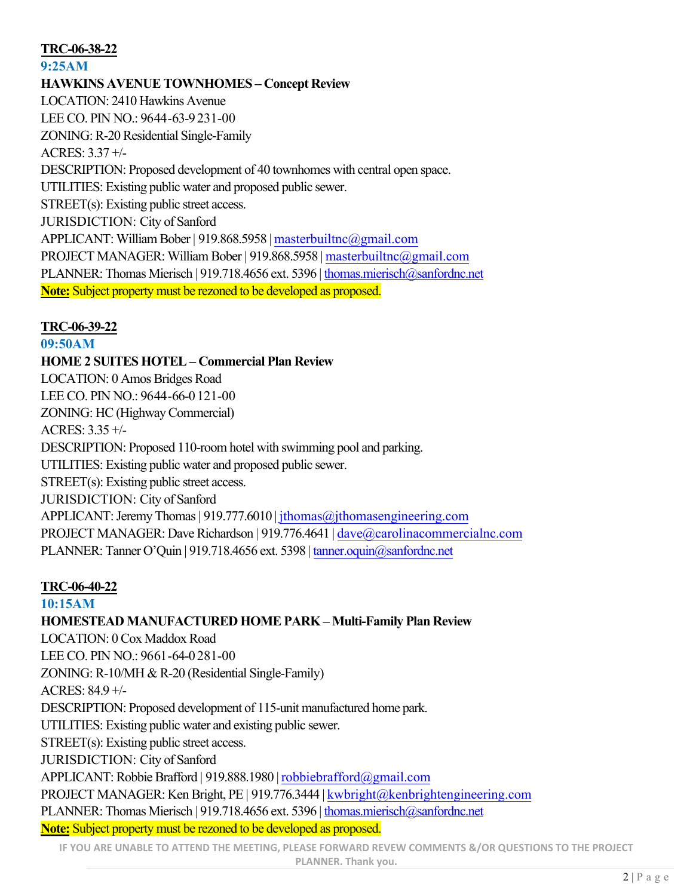# **TRC-06-38-22**

# **9:25AM**

# **HAWKINS AVENUE TOWNHOMES – Concept Review** LOCATION: 2410 Hawkins Avenue LEE CO. PIN NO.: 9644-63-9231-00 ZONING: R-20 Residential Single-Family ACRES: 3.37 +/- DESCRIPTION: Proposed development of 40 townhomes with central open space. UTILITIES: Existing public water and proposed public sewer. STREET(s): Existing public street access. JURISDICTION: City of Sanford APPLICANT: William Bober | 919.868.5958 | masterbuiltnc@gmail.com PROJECT MANAGER: William Bober | 919.868.5958 | masterbuiltnc@gmail.com PLANNER: Thomas Mierisch | 919.718.4656 ext. 5396 | thomas.mierisch@sanfordnc.net **Note:** Subject property must be rezoned to be developed as proposed.

## **TRC-06-39-22**

#### **09:50AM**

**HOME 2 SUITES HOTEL– Commercial Plan Review** LOCATION: 0 Amos Bridges Road LEE CO. PIN NO.: 9644-66-0121-00 ZONING: HC (HighwayCommercial) ACRES: 3.35 +/- DESCRIPTION: Proposed 110-room hotel with swimming pool and parking. UTILITIES: Existing public water and proposed public sewer. STREET(s): Existing public street access. JURISDICTION: City of Sanford APPLICANT: Jeremy Thomas | 919.777.6010 | jthomas@jthomasengineering.com PROJECT MANAGER: Dave Richardson | 919.776.4641 | dave@carolinacommercialnc.com PLANNER: Tanner O'Quin | 919.718.4656 ext. 5398 | tanner.oquin@sanfordnc.net

## **TRC-06-40-22**

## **10:15AM**

**HOMESTEAD MANUFACTURED HOME PARK – Multi-Family Plan Review** LOCATION: 0 Cox Maddox Road LEE CO. PIN NO.: 9661-64-0281-00 ZONING: R-10/MH & R-20 (Residential Single-Family) ACRES: 84.9 +/- DESCRIPTION: Proposed development of 115-unit manufactured home park. UTILITIES: Existing public water and existing public sewer. STREET(s): Existing public street access. JURISDICTION: City of Sanford APPLICANT: Robbie Brafford | 919.888.1980 |robbiebrafford@gmail.com PROJECT MANAGER: Ken Bright, PE | 919.776.3444 | kwbright@kenbrightengineering.com PLANNER: Thomas Mierisch | 919.718.4656 ext. 5396 | thomas.mierisch@sanfordnc.net **Note:** Subject property must be rezoned to be developed as proposed.

**IF YOU ARE UNABLE TO ATTEND THE MEETING, PLEASE FORWARD REVEW COMMENTS &/OR QUESTIONS TO THE PROJECT PLANNER. Thank you.**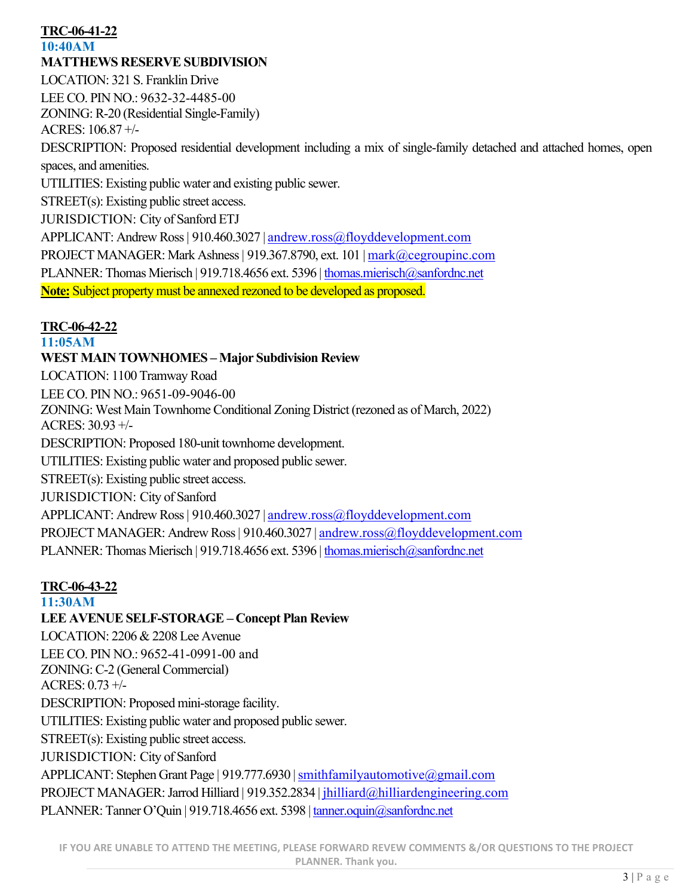# **TRC-06-41-22**

#### **10:40AM**

# **MATTHEWS RESERVE SUBDIVISION**

LOCATION: 321 S. Franklin Drive LEE CO. PIN NO.: 9632-32-4485-00 ZONING: R-20 (Residential Single-Family) ACRES: 106.87 +/- DESCRIPTION: Proposed residential development including a mix of single-family detached and attached homes, open spaces, and amenities. UTILITIES: Existing public water and existing public sewer. STREET(s): Existing public street access. JURISDICTION: City of Sanford ETJ APPLICANT: Andrew Ross | 910.460.3027 | andrew.ross@floyddevelopment.com PROJECT MANAGER: Mark Ashness | 919.367.8790, ext. 101 | mark@cegroupinc.com PLANNER: Thomas Mierisch | 919.718.4656 ext. 5396 | thomas.mierisch@sanfordnc.net **Note:** Subject property must be annexed rezoned to be developed as proposed.

#### **TRC-06-42-22**

#### **11:05AM**

#### **WEST MAIN TOWNHOMES – Major Subdivision Review**

LOCATION: 1100 Tramway Road LEE CO. PIN NO.: 9651-09-9046-00 ZONING: West Main Townhome Conditional Zoning District (rezoned as of March, 2022) ACRES: 30.93 +/- DESCRIPTION: Proposed 180-unit townhome development. UTILITIES: Existing public water and proposed public sewer. STREET(s): Existing public street access. JURISDICTION: City of Sanford APPLICANT: Andrew Ross | 910.460.3027 | andrew.ross@floyddevelopment.com PROJECT MANAGER: Andrew Ross | 910.460.3027 | andrew.ross@floyddevelopment.com PLANNER: Thomas Mierisch | 919.718.4656 ext. 5396 | thomas.mierisch@sanfordnc.net

## **TRC-06-43-22**

#### **11:30AM**

## **LEE AVENUE SELF-STORAGE – Concept Plan Review**

LOCATION: 2206 & 2208 Lee Avenue LEE CO. PIN NO.: 9652-41-0991-00 and ZONING: C-2 (General Commercial) ACRES: 0.73 +/- DESCRIPTION: Proposed mini-storage facility. UTILITIES: Existing public water and proposed public sewer. STREET(s): Existing public street access. JURISDICTION: City of Sanford APPLICANT: Stephen Grant Page | 919.777.6930 | smithfamilyautomotive@gmail.com PROJECT MANAGER: Jarrod Hilliard | 919.352.2834 | jhilliard@hilliardengineering.com PLANNER: Tanner O'Quin | 919.718.4656 ext. 5398 | tanner.oquin@sanfordnc.net